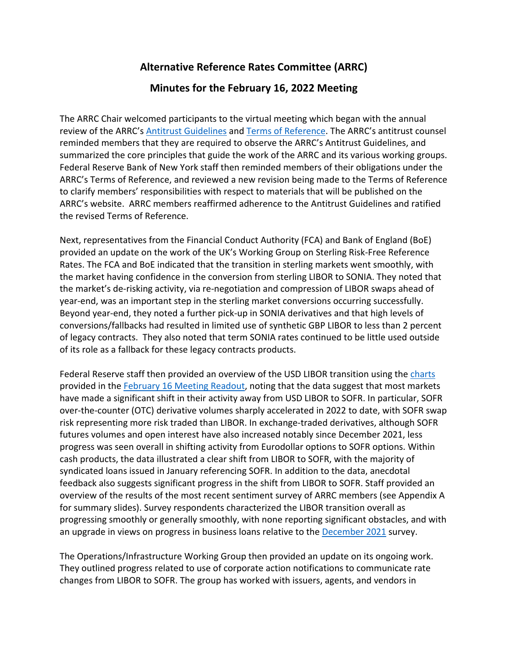## **Alternative Reference Rates Committee (ARRC)**

### **Minutes for the February 16, 2022 Meeting**

The ARRC Chair welcomed participants to the virtual meeting which began with the annual review of the ARRC's [Antitrust Guidelines](https://www.newyorkfed.org/medialibrary/media/aboutthefed/Antitrust_Guidelines.pdf) and [Terms of Reference.](https://www.newyorkfed.org/medialibrary/microsites/arrc/files/ARRC-TOR.PDF) The ARRC's antitrust counsel reminded members that they are required to observe the ARRC's Antitrust Guidelines, and summarized the core principles that guide the work of the ARRC and its various working groups. Federal Reserve Bank of New York staff then reminded members of their obligations under the ARRC's Terms of Reference, and reviewed a new revision being made to the Terms of Reference to clarify members' responsibilities with respect to materials that will be published on the ARRC's website. ARRC members reaffirmed adherence to the Antitrust Guidelines and ratified the revised Terms of Reference.

Next, representatives from the Financial Conduct Authority (FCA) and Bank of England (BoE) provided an update on the work of the UK's Working Group on Sterling Risk-Free Reference Rates. The FCA and BoE indicated that the transition in sterling markets went smoothly, with the market having confidence in the conversion from sterling LIBOR to SONIA. They noted that the market's de-risking activity, via re-negotiation and compression of LIBOR swaps ahead of year-end, was an important step in the sterling market conversions occurring successfully. Beyond year-end, they noted a further pick-up in SONIA derivatives and that high levels of conversions/fallbacks had resulted in limited use of synthetic GBP LIBOR to less than 2 percent of legacy contracts. They also noted that term SONIA rates continued to be little used outside of its role as a fallback for these legacy contracts products.

Federal Reserve staff then provided an overview of the USD LIBOR transition using the [charts](https://www.newyorkfed.org/medialibrary/Microsites/arrc/files/2022/ARRC_Readout_February_2022_Meeting.pdf) provided in the [February 16 Meeting Readout,](https://www.newyorkfed.org/medialibrary/Microsites/arrc/files/2022/ARRC_Readout_February_2022_Meeting.pdf) noting that the data suggest that most markets have made a significant shift in their activity away from USD LIBOR to SOFR. In particular, SOFR over-the-counter (OTC) derivative volumes sharply accelerated in 2022 to date, with SOFR swap risk representing more risk traded than LIBOR. In exchange-traded derivatives, although SOFR futures volumes and open interest have also increased notably since December 2021, less progress was seen overall in shifting activity from Eurodollar options to SOFR options. Within cash products, the data illustrated a clear shift from LIBOR to SOFR, with the majority of syndicated loans issued in January referencing SOFR. In addition to the data, anecdotal feedback also suggests significant progress in the shift from LIBOR to SOFR. Staff provided an overview of the results of the most recent sentiment survey of ARRC members (see Appendix A for summary slides). Survey respondents characterized the LIBOR transition overall as progressing smoothly or generally smoothly, with none reporting significant obstacles, and with an upgrade in views on progress in business loans relative to the [December 2021](https://www.newyorkfed.org/medialibrary/microsites/arrc/files/2021/arrc-meeting-minutes-december-16-2021.pdf) survey.

The Operations/Infrastructure Working Group then provided an update on its ongoing work. They outlined progress related to use of corporate action notifications to communicate rate changes from LIBOR to SOFR. The group has worked with issuers, agents, and vendors in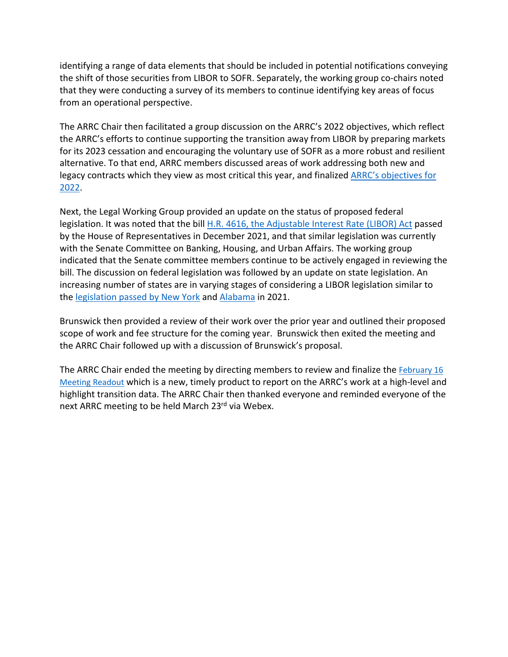identifying a range of data elements that should be included in potential notifications conveying the shift of those securities from LIBOR to SOFR. Separately, the working group co-chairs noted that they were conducting a survey of its members to continue identifying key areas of focus from an operational perspective.

The ARRC Chair then facilitated a group discussion on the ARRC's 2022 objectives, which reflect the ARRC's efforts to continue supporting the transition away from LIBOR by preparing markets for its 2023 cessation and encouraging the voluntary use of SOFR as a more robust and resilient alternative. To that end, ARRC members discussed areas of work addressing both new and legacy contracts which they view as most critical this year, and finalized [ARRC's objectives for](https://www.newyorkfed.org/medialibrary/Microsites/arrc/files/2022/ARRC_2022_Objectives.pdf)  [2022.](https://www.newyorkfed.org/medialibrary/Microsites/arrc/files/2022/ARRC_2022_Objectives.pdf)

Next, the Legal Working Group provided an update on the status of proposed federal legislation. It was noted that the bill [H.R. 4616, the Adjustable Interest Rate \(LIBOR\) Act](https://www.congress.gov/117/bills/hr4616/BILLS-117hr4616rfs.pdf) passed by the House of Representatives in December 2021, and that similar legislation was currently with the Senate Committee on Banking, Housing, and Urban Affairs. The working group indicated that the Senate committee members continue to be actively engaged in reviewing the bill. The discussion on federal legislation was followed by an update on state legislation. An increasing number of states are in varying stages of considering a LIBOR legislation similar to the [legislation passed by New York](https://www.nysenate.gov/legislation/bills/2021/A164) and [Alabama](https://casetext.com/statute/code-of-alabama/title-5-banks-and-financial-institutions/chapter-28-libor-discontinuance-and-replacement-act-of-2021/section-5-28-1-title) in 2021.

Brunswick then provided a review of their work over the prior year and outlined their proposed scope of work and fee structure for the coming year. Brunswick then exited the meeting and the ARRC Chair followed up with a discussion of Brunswick's proposal.

The ARRC Chair ended the meeting by directing members to review and finalize the [February 16](https://www.newyorkfed.org/medialibrary/Microsites/arrc/files/2022/ARRC_Readout_February_2022_Meeting.pdf)  [Meeting Readout](https://www.newyorkfed.org/medialibrary/Microsites/arrc/files/2022/ARRC_Readout_February_2022_Meeting.pdf) which is a new, timely product to report on the ARRC's work at a high-level and highlight transition data. The ARRC Chair then thanked everyone and reminded everyone of the next ARRC meeting to be held March 23rd via Webex.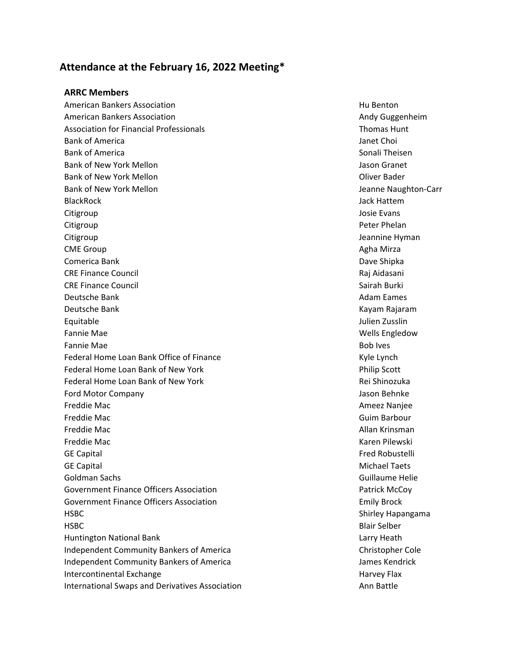### **Attendance at the February 16, 2022 Meeting\***

### **ARRC Members**

American Bankers Association **Hu Benton** Hu Benton American Bankers Association Andy Guggenheim Andy Guggenheim Association for Financial Professionals Thomas Hunt Bank of America **Janet Choi** Bank of America Sonali Theisen Sonali Theisen Sonali Theisen Sonali Theisen Sonali Theisen Bank of New York Mellon Jason Granet Allen Jason Granet Allen Jason Granet Allen Jason Granet Allen Jason Granet Bank of New York Mellon Oliver Bader Bank of New York Mellon Jeanne Naughton-Carr BlackRock Jack Hattem Citigroup Josie Evans Citigroup Peter Phelan Citigroup **Communist Communist Communist Communist Communist Communist Communist Communist Communist Communist Communist Communist Communist Communist Communist Communist Communist Communist Communist Communist Communist C** CME Group and the contract of the contract of the contract of the contract of the contract of the contract of the contract of the contract of the contract of the contract of the contract of the contract of the contract of Comerica Bank Dave Shipka CRE Finance Council Raj Aidasani CRE Finance Council Sairah Burki Deutsche Bank Adam Eames and Adam Eames and Adam Eames and Adam Eames and Adam Eames and Adam Eames and Adam E Deutsche Bank Kayam Rajaram Kayam Rajaram Kayam Rajaram Kayam Rajaram Kayam Rajaram Kayam Rajaram Kayam Rajaram Equitable Julien Zusslin Fannie Mae Wells Engledow Fannie Mae Bob Ives and the Bob Ives and the Bob Ives and the Bob Ives and the Bob Ives and the Bob Ives and the Bob Ives and the Bob Ives and the Bob Ives and the Bob Ives and the Bob Ives and the Bob Ives and the Bob Ive Federal Home Loan Bank Office of Finance Manual Communication of Kyle Lynch Federal Home Loan Bank of New York **Philip Scott** Philip Scott Federal Home Loan Bank of New York Rei Shinozuka Rei Shinozuka Ford Motor Company Jason Behnke Freddie Mac **Ameez Nanjee Ameez Nanjee** Ameez Nanjee Freddie Mac Guim Barbour Freddie Mac Allan Krinsman Freddie Mac Karen Pilewski GE Capital Fred Robustelli GE Capital Michael Taets Goldman Sachs Guillaume Helie Government Finance Officers Association **Patrick McCoy** Patrick McCoy Government Finance Officers Association **Emily Brock** Emily Brock HSBC **Shirley Hapangama** HSBC Blair Selber Huntington National Bank Larry Heath Larry Heath Independent Community Bankers of America **Christopher Cole** Christopher Cole Independent Community Bankers of America **James Kendrick** James Kendrick Intercontinental Exchange Harvey Flax and The Harvey Flax and Harvey Flax International Swaps and Derivatives Association **Announce Announce Announce** Ann Battle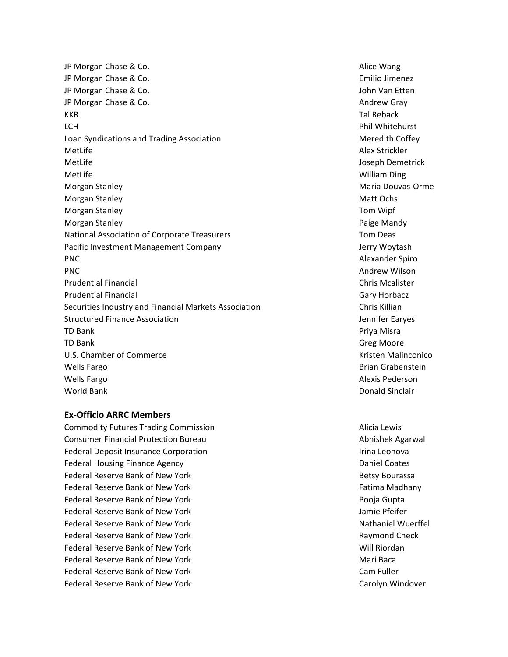JP Morgan Chase & Co. Alice Wang and the Contract of the Contract of the Contract of the Contract of the Contract of the Contract of the Contract of the Contract of the Contract of the Contract of the Contract of the Contr JP Morgan Chase & Co. Emilio Jimenez JP Morgan Chase & Co. John Van Etten and John Van Etten and John Van Etten and John Van Etten and John Van Etten JP Morgan Chase & Co. Andrew Gray Communication of the Communication of the Andrew Gray KKR Tal Reback (1999) and the set of the set of the set of the set of the set of the set of the set of the set of the set of the set of the set of the set of the set of the set of the set of the set of the set of the set o LCH Phil Whitehurst Loan Syndications and Trading Association Meredith Coffey Meredith Coffey MetLife Alex Strickler Alex Strickler MetLife Joseph Demetrick And The Joseph Demetrick And The Joseph Demetrick MetLife William Ding Morgan Stanley Maria Douvas-Orme Morgan Stanley Matt Ochs and the Matt Ochs and the Matt Ochs and the Matt Ochs and the Matt Ochs and the Matt Ochs and the Matt Ochs and the Matt Ochs and the Matt Ochs and the Matt Ochs and the Matt Ochs and the Matt Ochs Morgan Stanley Tom Wipf Morgan Stanley **Paige Mandy Paige Mandy Paige Mandy** National Association of Corporate Treasurers Tom Deas Pacific Investment Management Company Macific Investment Management Company PNC Alexander Spiro PNC **PNC PNC Andrew Wilson** Prudential Financial Chris Mcalister Prudential Financial Gary Horbacz Securities Industry and Financial Markets Association Chris Chris Killian Structured Finance Association **Jennifer Eary and Accord Provident** Structured Finance Association TD Bank Priva Misra 2012 12:00 12:00 12:00 12:00 12:00 12:00 12:00 12:00 12:00 12:00 12:00 12:00 12:00 12:00 1 TD Bank Greg Moore U.S. Chamber of Commerce The Commerce Communication of Communication of Communication of Communication of Communication of Communication of Communication of Communication of Communication of Communication of Communication Wells Fargo **Brian Grabenstein Brian Grabenstein Brian Grabenstein** Wells Fargo **Alexis Pederson Alexis Pederson** World Bank Donald Sinclair

### **Ex-Officio ARRC Members**

Commodity Futures Trading Commission **Alicia Lewis Alicia Lewis** Consumer Financial Protection Bureau Abhishek Agarwal Federal Deposit Insurance Corporation **Irina Leonova** Irina Leonova Federal Housing Finance Agency **Daniel Coates** Daniel Coates Federal Reserve Bank of New York Betsy Bourassa Federal Reserve Bank of New York Fatima Madhany Fatima Madhany Federal Reserve Bank of New York **Poole Poole** Poole Burk Poole Gupta Federal Reserve Bank of New York Jamie Pfeifer Federal Reserve Bank of New York Nathaniel Wuerffel Federal Reserve Bank of New York **Raymond Check** Raymond Check Federal Reserve Bank of New York Will Riordan Null Riordan Federal Reserve Bank of New York Mari Baca and Shankara Mari Baca Federal Reserve Bank of New York Cam Fuller Cam Fuller Federal Reserve Bank of New York Carolyn Windover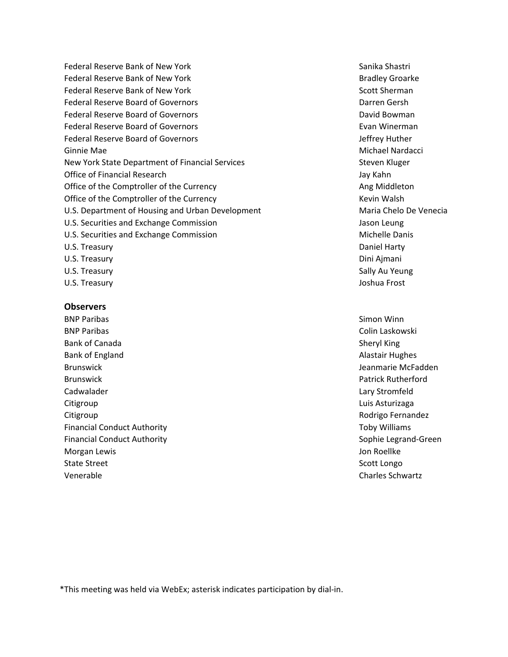Federal Reserve Bank of New York Sanika Shastri Sanika Shastri Sanika Shastri Sanika Shastri Shastri Shastri Sha Federal Reserve Bank of New York Bradley Groarke Bradley Groarke Federal Reserve Bank of New York Scott Sherman Scott Sherman Federal Reserve Board of Governors **Darren Gersh** Darren Gersh Federal Reserve Board of Governors **Communist Communist Communist Communist Communist Communist Communist Communist Communist Communist Communist Communist Communist Communist Communist Communist Communist Communist Commun** Federal Reserve Board of Governors **Evan Example 2018** Evan Winerman Federal Reserve Board of Governors and the state of the state of the state of the state of the state of the state of the state of the state of the state of the state of the state of the state of the state of the state of t Ginnie Mae Michael Nardacci New York State Department of Financial Services State Steven Kluger Steven Kluger Office of Financial Research **Jay Kahn** Jay Kahn Office of the Comptroller of the Currency and Ang Middleton Ang Middleton Office of the Comptroller of the Currency The Currency Revision Malsh U.S. Department of Housing and Urban Development Maria Chelo De Venecia U.S. Securities and Exchange Commission Georgian Communisties and Leung Jason Leung U.S. Securities and Exchange Commission **Michelle Danis** Michelle Danis U.S. Treasury Daniel Harty U.S. Treasury **Dini Ajmani** Dini Ajmani Dini Ajmani Dini Ajmani Dini Ajmani Dini Ajmani Dini Ajmani Dini Ajmani U.S. Treasury Sally Au Yeung Sally Au Yeung Sally Au Yeung Sally Au Yeung Sally Au Yeung Sally Au Yeung Sally Au

**Observers**

**BNP Paribas Simon Winn** BNP Paribas Colin Laskowski Bank of Canada Sheryl King Sheryl King Sheryl King Sheryl King Sheryl King Sheryl King Sheryl King Sheryl King Bank of England Alastair Hughes and Alastair Hughes and Alastair Hughes and Alastair Hughes Brunswick Jeanmarie McFadden Brunswick **Patrick Rutherford Patrick Rutherford** Cadwalader Lary Stromfeld Citigroup Luis Asturizaga Citigroup Rodrigo Fernandez Financial Conduct Authority **The Conduct Authority** Toby Williams **Toby Williams** Financial Conduct Authority **Sophie Legrand-Green** Sophie Legrand-Green Morgan Lewis Jon Roellke State Street Scott Longo Scott Longo Scott Longo Scott Longo Scott Longo Scott Longo Scott Longo Scott Longo Scott Longo Scott Longo Scott Longo Scott Longo Scott Longo Scott Longo Scott Longo Scott Longo Scott Longo Scott Venerable Charles Schwartz

U.S. Treasury Joshua Frost

\*This meeting was held via WebEx; asterisk indicates participation by dial-in.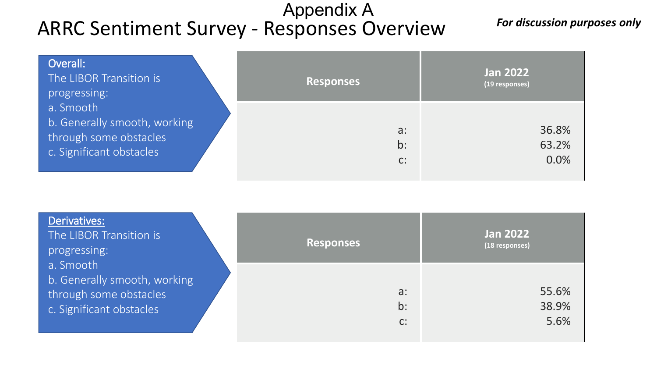## ARRC Sentiment Survey - Responses Overview *For discussion purposes only* Appendix A

| Overall:<br>The LIBOR Transition is<br>progressing:                                             | <b>Responses</b>        | <b>Jan 2022</b><br>(19 responses) |
|-------------------------------------------------------------------------------------------------|-------------------------|-----------------------------------|
| a. Smooth<br>b. Generally smooth, working<br>through some obstacles<br>c. Significant obstacles | $a$ :<br>$b$ :<br>$C$ : | 36.8%<br>63.2%<br>0.0%            |

| Derivatives:<br>The LIBOR Transition is<br>progressing:                                         | <b>Responses</b>     | <b>Jan 2022</b><br>(18 responses) |
|-------------------------------------------------------------------------------------------------|----------------------|-----------------------------------|
| a. Smooth<br>b. Generally smooth, working<br>through some obstacles<br>c. Significant obstacles | $a$ :<br>$b$ :<br>C: | 55.6%<br>38.9%<br>5.6%            |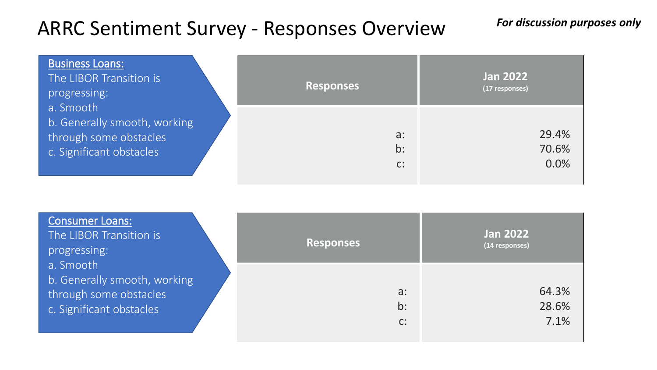# ARRC Sentiment Survey - Responses Overview *For discussion purposes only*

| <b>Business Loans:</b><br>The LIBOR Transition is<br>progressing:                               | <b>Responses</b>     | <b>Jan 2022</b><br>(17 responses) |
|-------------------------------------------------------------------------------------------------|----------------------|-----------------------------------|
| a. Smooth<br>b. Generally smooth, working<br>through some obstacles<br>c. Significant obstacles | $a$ :<br>$b$ :<br>C: | 29.4%<br>70.6%<br>0.0%            |

| <b>Consumer Loans:</b><br>The LIBOR Transition is<br>progressing:                               | <b>Responses</b>     | <b>Jan 2022</b><br>(14 responses) |
|-------------------------------------------------------------------------------------------------|----------------------|-----------------------------------|
| a. Smooth<br>b. Generally smooth, working<br>through some obstacles<br>c. Significant obstacles | $a$ :<br>$b$ :<br>C: | 64.3%<br>28.6%<br>7.1%            |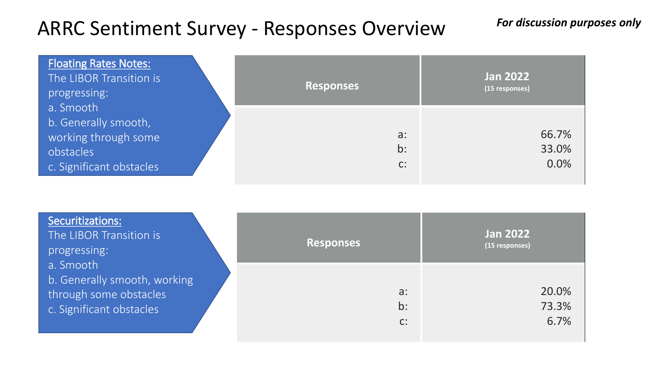# ARRC Sentiment Survey - Responses Overview *For discussion purposes only*

| <b>Floating Rates Notes:</b><br>The LIBOR Transition is<br>progressing:                            | <b>Responses</b>     | <b>Jan 2022</b><br>(15 responses) |
|----------------------------------------------------------------------------------------------------|----------------------|-----------------------------------|
| a. Smooth<br>b. Generally smooth,<br>working through some<br>obstacles<br>c. Significant obstacles | $a$ :<br>$b$ :<br>C: | 66.7%<br>33.0%<br>0.0%            |

| Securitizations:<br>The LIBOR Transition is<br>progressing:                                     | <b>Responses</b>     | <b>Jan 2022</b><br>(15 responses) |
|-------------------------------------------------------------------------------------------------|----------------------|-----------------------------------|
| a. Smooth<br>b. Generally smooth, working<br>through some obstacles<br>c. Significant obstacles | $a$ :<br>$b$ :<br>C: | 20.0%<br>73.3%<br>6.7%            |